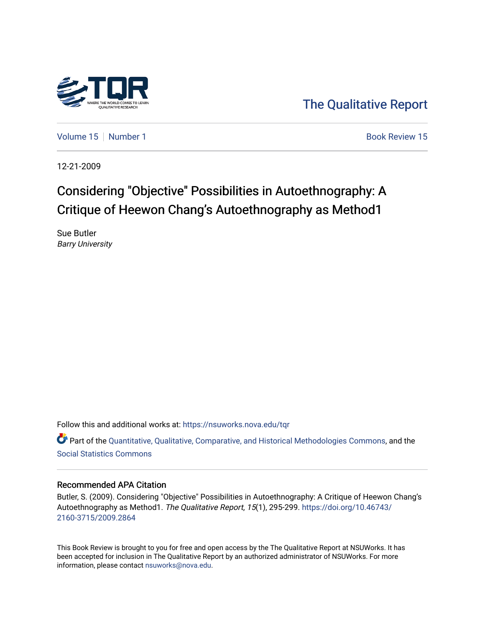

[The Qualitative Report](https://nsuworks.nova.edu/tqr) 

[Volume 15](https://nsuworks.nova.edu/tqr/vol15) [Number 1](https://nsuworks.nova.edu/tqr/vol15/iss1) Book Review 15

12-21-2009

# Considering "Objective" Possibilities in Autoethnography: A Critique of Heewon Chang's Autoethnography as Method1

Sue Butler Barry University

Follow this and additional works at: [https://nsuworks.nova.edu/tqr](https://nsuworks.nova.edu/tqr?utm_source=nsuworks.nova.edu%2Ftqr%2Fvol15%2Fiss1%2F15&utm_medium=PDF&utm_campaign=PDFCoverPages) 

Part of the [Quantitative, Qualitative, Comparative, and Historical Methodologies Commons,](http://network.bepress.com/hgg/discipline/423?utm_source=nsuworks.nova.edu%2Ftqr%2Fvol15%2Fiss1%2F15&utm_medium=PDF&utm_campaign=PDFCoverPages) and the [Social Statistics Commons](http://network.bepress.com/hgg/discipline/1275?utm_source=nsuworks.nova.edu%2Ftqr%2Fvol15%2Fiss1%2F15&utm_medium=PDF&utm_campaign=PDFCoverPages) 

#### Recommended APA Citation

Butler, S. (2009). Considering "Objective" Possibilities in Autoethnography: A Critique of Heewon Chang's Autoethnography as Method1. The Qualitative Report, 15(1), 295-299. [https://doi.org/10.46743/](https://doi.org/10.46743/2160-3715/2009.2864) [2160-3715/2009.2864](https://doi.org/10.46743/2160-3715/2009.2864)

This Book Review is brought to you for free and open access by the The Qualitative Report at NSUWorks. It has been accepted for inclusion in The Qualitative Report by an authorized administrator of NSUWorks. For more information, please contact [nsuworks@nova.edu.](mailto:nsuworks@nova.edu)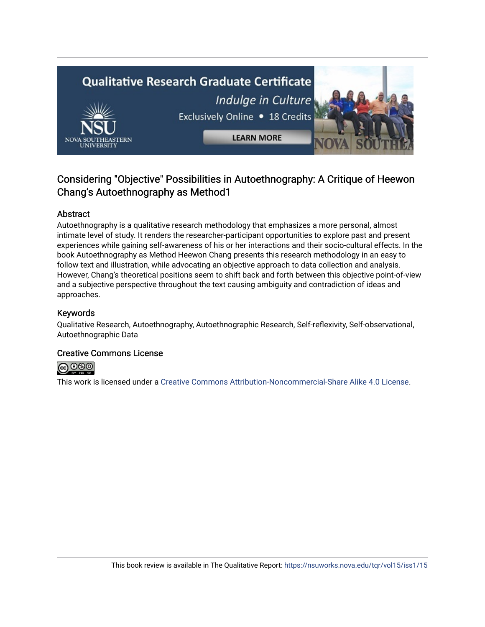# **Qualitative Research Graduate Certificate** Indulge in Culture Exclusively Online . 18 Credits **LEARN MORE**

# Considering "Objective" Possibilities in Autoethnography: A Critique of Heewon Chang's Autoethnography as Method1

## Abstract

Autoethnography is a qualitative research methodology that emphasizes a more personal, almost intimate level of study. It renders the researcher-participant opportunities to explore past and present experiences while gaining self-awareness of his or her interactions and their socio-cultural effects. In the book Autoethnography as Method Heewon Chang presents this research methodology in an easy to follow text and illustration, while advocating an objective approach to data collection and analysis. However, Chang's theoretical positions seem to shift back and forth between this objective point-of-view and a subjective perspective throughout the text causing ambiguity and contradiction of ideas and approaches.

### Keywords

Qualitative Research, Autoethnography, Autoethnographic Research, Self-reflexivity, Self-observational, Autoethnographic Data

#### Creative Commons License



This work is licensed under a [Creative Commons Attribution-Noncommercial-Share Alike 4.0 License](https://creativecommons.org/licenses/by-nc-sa/4.0/).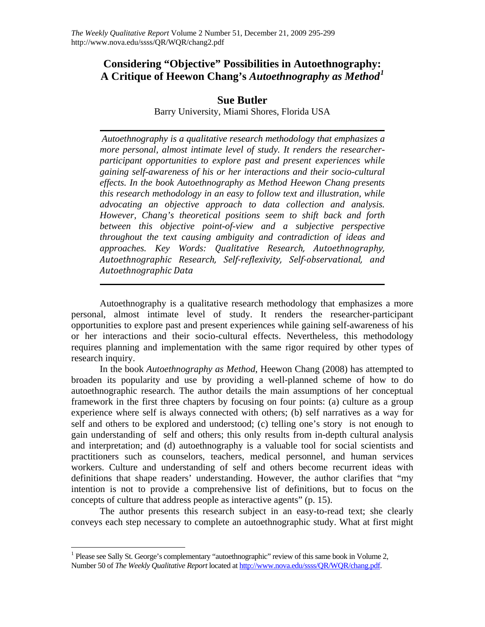# **Considering "Objective" Possibilities in Autoethnography: A Critique of Heewon Chang's** *Autoethnography as Method[1](#page-2-0)*

# **Sue Butler**

Barry University, Miami Shores, Florida USA

*Autoethnography is a qualitative research methodology that emphasizes a more personal, almost intimate level of study. It renders the researcherparticipant opportunities to explore past and present experiences while gaining self-awareness of his or her interactions and their socio-cultural effects. In the book Autoethnography as Method Heewon Chang presents this research methodology in an easy to follow text and illustration, while advocating an objective approach to data collection and analysis. However, Chang's theoretical positions seem to shift back and forth between this objective point-of-view and a subjective perspective throughout the text causing ambiguity and contradiction of ideas and approaches. Key Words: Qualitative Research, Autoethnography, Autoethnographic Research, Selfreflexivity, Selfobservational, and Autoethnographic Data*

Autoethnography is a qualitative research methodology that emphasizes a more personal, almost intimate level of study. It renders the researcher-participant opportunities to explore past and present experiences while gaining self-awareness of his or her interactions and their socio-cultural effects. Nevertheless, this methodology requires planning and implementation with the same rigor required by other types of research inquiry.

In the book *Autoethnography as Method*, Heewon Chang (2008) has attempted to broaden its popularity and use by providing a well-planned scheme of how to do autoethnographic research. The author details the main assumptions of her conceptual framework in the first three chapters by focusing on four points: (a) culture as a group experience where self is always connected with others; (b) self narratives as a way for self and others to be explored and understood; (c) telling one's story is not enough to gain understanding of self and others; this only results from in-depth cultural analysis and interpretation; and (d) autoethnography is a valuable tool for social scientists and practitioners such as counselors, teachers, medical personnel, and human services workers. Culture and understanding of self and others become recurrent ideas with definitions that shape readers' understanding. However, the author clarifies that "my intention is not to provide a comprehensive list of definitions, but to focus on the concepts of culture that address people as interactive agents" (p. 15).

The author presents this research subject in an easy-to-read text; she clearly conveys each step necessary to complete an autoethnographic study. What at first might

 $\overline{a}$ 

<span id="page-2-0"></span><sup>&</sup>lt;sup>1</sup> Please see Sally St. George's complementary "autoethnographic" review of this same book in Volume 2, Number 50 of *The Weekly Qualitative Report* located at<http://www.nova.edu/ssss/QR/WQR/chang.pdf>.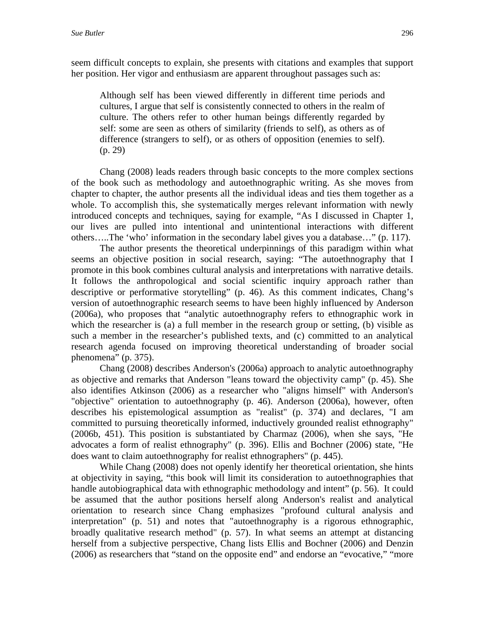seem difficult concepts to explain, she presents with citations and examples that support her position. Her vigor and enthusiasm are apparent throughout passages such as:

Although self has been viewed differently in different time periods and cultures, I argue that self is consistently connected to others in the realm of culture. The others refer to other human beings differently regarded by self: some are seen as others of similarity (friends to self), as others as of difference (strangers to self), or as others of opposition (enemies to self). (p. 29)

Chang (2008) leads readers through basic concepts to the more complex sections of the book such as methodology and autoethnographic writing. As she moves from chapter to chapter, the author presents all the individual ideas and ties them together as a whole. To accomplish this, she systematically merges relevant information with newly introduced concepts and techniques, saying for example, "As I discussed in Chapter 1, our lives are pulled into intentional and unintentional interactions with different others…..The 'who' information in the secondary label gives you a database…" (p. 117).

The author presents the theoretical underpinnings of this paradigm within what seems an objective position in social research, saying: "The autoethnography that I promote in this book combines cultural analysis and interpretations with narrative details. It follows the anthropological and social scientific inquiry approach rather than descriptive or performative storytelling" (p. 46). As this comment indicates, Chang's version of autoethnographic research seems to have been highly influenced by Anderson (2006a), who proposes that "analytic autoethnography refers to ethnographic work in which the researcher is (a) a full member in the research group or setting, (b) visible as such a member in the researcher's published texts, and (c) committed to an analytical research agenda focused on improving theoretical understanding of broader social phenomena" (p. 375).

Chang (2008) describes Anderson's (2006a) approach to analytic autoethnography as objective and remarks that Anderson "leans toward the objectivity camp" (p. 45). She also identifies Atkinson (2006) as a researcher who "aligns himself" with Anderson's "objective" orientation to autoethnography (p. 46). Anderson (2006a), however, often describes his epistemological assumption as "realist" (p. 374) and declares, "I am committed to pursuing theoretically informed, inductively grounded realist ethnography" (2006b, 451). This position is substantiated by Charmaz (2006), when she says, "He advocates a form of realist ethnography" (p. 396). Ellis and Bochner (2006) state, "He does want to claim autoethnography for realist ethnographers" (p. 445).

While Chang (2008) does not openly identify her theoretical orientation, she hints at objectivity in saying, "this book will limit its consideration to autoethnographies that handle autobiographical data with ethnographic methodology and intent" (p. 56). It could be assumed that the author positions herself along Anderson's realist and analytical orientation to research since Chang emphasizes "profound cultural analysis and interpretation" (p. 51) and notes that "autoethnography is a rigorous ethnographic, broadly qualitative research method" (p. 57). In what seems an attempt at distancing herself from a subjective perspective, Chang lists Ellis and Bochner (2006) and Denzin (2006) as researchers that "stand on the opposite end" and endorse an "evocative," "more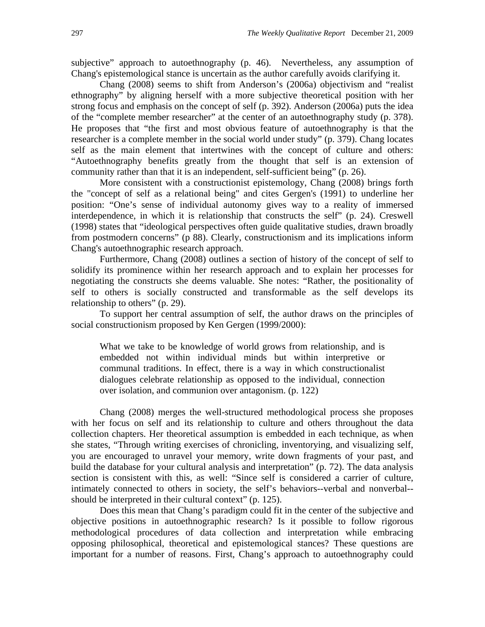subjective" approach to autoethnography (p. 46). Nevertheless, any assumption of Chang's epistemological stance is uncertain as the author carefully avoids clarifying it.

Chang (2008) seems to shift from Anderson's (2006a) objectivism and "realist ethnography" by aligning herself with a more subjective theoretical position with her strong focus and emphasis on the concept of self (p. 392). Anderson (2006a) puts the idea of the "complete member researcher" at the center of an autoethnography study (p. 378). He proposes that "the first and most obvious feature of autoethnography is that the researcher is a complete member in the social world under study" (p. 379). Chang locates self as the main element that intertwines with the concept of culture and others: "Autoethnography benefits greatly from the thought that self is an extension of community rather than that it is an independent, self-sufficient being" (p. 26).

More consistent with a constructionist epistemology, Chang (2008) brings forth the "concept of self as a relational being" and cites Gergen's (1991) to underline her position: "One's sense of individual autonomy gives way to a reality of immersed interdependence, in which it is relationship that constructs the self" (p. 24). Creswell (1998) states that "ideological perspectives often guide qualitative studies, drawn broadly from postmodern concerns" (p 88). Clearly, constructionism and its implications inform Chang's autoethnographic research approach.

Furthermore, Chang (2008) outlines a section of history of the concept of self to solidify its prominence within her research approach and to explain her processes for negotiating the constructs she deems valuable. She notes: "Rather, the positionality of self to others is socially constructed and transformable as the self develops its relationship to others" (p. 29).

To support her central assumption of self, the author draws on the principles of social constructionism proposed by Ken Gergen (1999/2000):

What we take to be knowledge of world grows from relationship, and is embedded not within individual minds but within interpretive or communal traditions. In effect, there is a way in which constructionalist dialogues celebrate relationship as opposed to the individual, connection over isolation, and communion over antagonism. (p. 122)

Chang (2008) merges the well-structured methodological process she proposes with her focus on self and its relationship to culture and others throughout the data collection chapters. Her theoretical assumption is embedded in each technique, as when she states, "Through writing exercises of chronicling, inventorying, and visualizing self, you are encouraged to unravel your memory, write down fragments of your past, and build the database for your cultural analysis and interpretation" (p. 72). The data analysis section is consistent with this, as well: "Since self is considered a carrier of culture, intimately connected to others in society, the self's behaviors--verbal and nonverbal- should be interpreted in their cultural context" (p. 125).

Does this mean that Chang's paradigm could fit in the center of the subjective and objective positions in autoethnographic research? Is it possible to follow rigorous methodological procedures of data collection and interpretation while embracing opposing philosophical, theoretical and epistemological stances? These questions are important for a number of reasons. First, Chang's approach to autoethnography could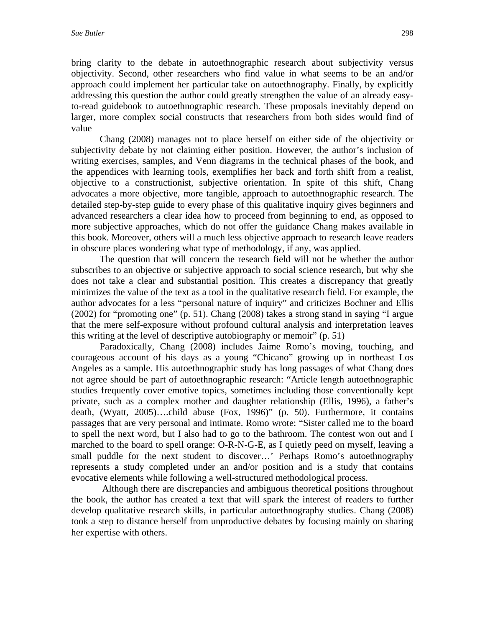bring clarity to the debate in autoethnographic research about subjectivity versus objectivity. Second, other researchers who find value in what seems to be an and/or approach could implement her particular take on autoethnography. Finally, by explicitly addressing this question the author could greatly strengthen the value of an already easyto-read guidebook to autoethnographic research. These proposals inevitably depend on larger, more complex social constructs that researchers from both sides would find of value

Chang (2008) manages not to place herself on either side of the objectivity or subjectivity debate by not claiming either position. However, the author's inclusion of writing exercises, samples, and Venn diagrams in the technical phases of the book, and the appendices with learning tools, exemplifies her back and forth shift from a realist, objective to a constructionist, subjective orientation. In spite of this shift, Chang advocates a more objective, more tangible, approach to autoethnographic research. The detailed step-by-step guide to every phase of this qualitative inquiry gives beginners and advanced researchers a clear idea how to proceed from beginning to end, as opposed to more subjective approaches, which do not offer the guidance Chang makes available in this book. Moreover, others will a much less objective approach to research leave readers in obscure places wondering what type of methodology, if any, was applied.

The question that will concern the research field will not be whether the author subscribes to an objective or subjective approach to social science research, but why she does not take a clear and substantial position. This creates a discrepancy that greatly minimizes the value of the text as a tool in the qualitative research field. For example, the author advocates for a less "personal nature of inquiry" and criticizes Bochner and Ellis (2002) for "promoting one" (p. 51). Chang (2008) takes a strong stand in saying "I argue that the mere self-exposure without profound cultural analysis and interpretation leaves this writing at the level of descriptive autobiography or memoir" (p. 51)

Paradoxically, Chang (2008) includes Jaime Romo's moving, touching, and courageous account of his days as a young "Chicano" growing up in northeast Los Angeles as a sample. His autoethnographic study has long passages of what Chang does not agree should be part of autoethnographic research: "Article length autoethnographic studies frequently cover emotive topics, sometimes including those conventionally kept private, such as a complex mother and daughter relationship (Ellis, 1996), a father's death, (Wyatt, 2005)….child abuse (Fox, 1996)" (p. 50). Furthermore, it contains passages that are very personal and intimate. Romo wrote: "Sister called me to the board to spell the next word, but I also had to go to the bathroom. The contest won out and I marched to the board to spell orange: O-R-N-G-E, as I quietly peed on myself, leaving a small puddle for the next student to discover…' Perhaps Romo's autoethnography represents a study completed under an and/or position and is a study that contains evocative elements while following a well-structured methodological process.

 Although there are discrepancies and ambiguous theoretical positions throughout the book, the author has created a text that will spark the interest of readers to further develop qualitative research skills, in particular autoethnography studies. Chang (2008) took a step to distance herself from unproductive debates by focusing mainly on sharing her expertise with others.